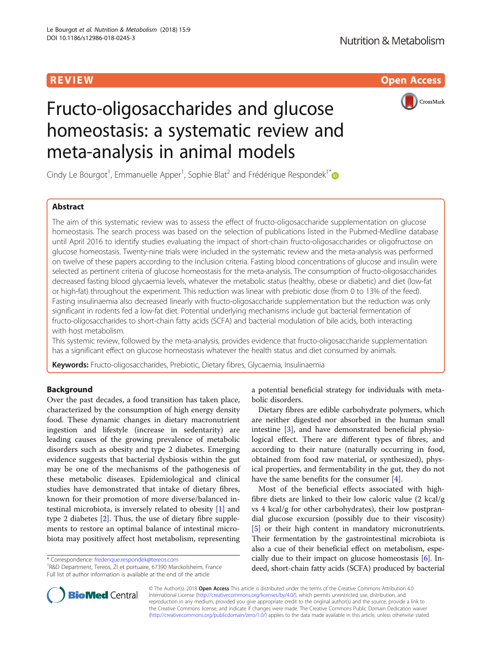R EVI EW Open Access



# Fructo-oligosaccharides and glucose homeostasis: a systematic review and meta-analysis in animal models

Cindy Le Bourgot<sup>1</sup>, Emmanuelle Apper<sup>1</sup>, Sophie Blat<sup>2</sup> and Frédérique Respondek<sup>1[\\*](http://orcid.org/0000-0001-6584-4851)</sup>

# Abstract

The aim of this systematic review was to assess the effect of fructo-oligosaccharide supplementation on glucose homeostasis. The search process was based on the selection of publications listed in the Pubmed-Medline database until April 2016 to identify studies evaluating the impact of short-chain fructo-oligosaccharides or oligofructose on glucose homeostasis. Twenty-nine trials were included in the systematic review and the meta-analysis was performed on twelve of these papers according to the inclusion criteria. Fasting blood concentrations of glucose and insulin were selected as pertinent criteria of glucose homeostasis for the meta-analysis. The consumption of fructo-oligosaccharides decreased fasting blood glycaemia levels, whatever the metabolic status (healthy, obese or diabetic) and diet (low-fat or high-fat) throughout the experiment. This reduction was linear with prebiotic dose (from 0 to 13% of the feed). Fasting insulinaemia also decreased linearly with fructo-oligosaccharide supplementation but the reduction was only significant in rodents fed a low-fat diet. Potential underlying mechanisms include gut bacterial fermentation of fructo-oligosaccharides to short-chain fatty acids (SCFA) and bacterial modulation of bile acids, both interacting with host metabolism.

This systemic review, followed by the meta-analysis, provides evidence that fructo-oligosaccharide supplementation has a significant effect on glucose homeostasis whatever the health status and diet consumed by animals.

Keywords: Fructo-oligosaccharides, Prebiotic, Dietary fibres, Glycaemia, Insulinaemia

# Background

Over the past decades, a food transition has taken place, characterized by the consumption of high energy density food. These dynamic changes in dietary macronutrient ingestion and lifestyle (increase in sedentarity) are leading causes of the growing prevalence of metabolic disorders such as obesity and type 2 diabetes. Emerging evidence suggests that bacterial dysbiosis within the gut may be one of the mechanisms of the pathogenesis of these metabolic diseases. Epidemiological and clinical studies have demonstrated that intake of dietary fibres, known for their promotion of more diverse/balanced intestinal microbiota, is inversely related to obesity [\[1](#page-12-0)] and type 2 diabetes [\[2](#page-12-0)]. Thus, the use of dietary fibre supplements to restore an optimal balance of intestinal microbiota may positively affect host metabolism, representing

\* Correspondence: [frederique.respondek@tereos.com](mailto:frederique.respondek@tereos.com) <sup>1</sup>

<sup>1</sup>R&D Department, Tereos, ZI et portuaire, 67390 Marckolsheim, France Full list of author information is available at the end of the article



Dietary fibres are edible carbohydrate polymers, which are neither digested nor absorbed in the human small intestine [\[3](#page-12-0)], and have demonstrated beneficial physiological effect. There are different types of fibres, and according to their nature (naturally occurring in food, obtained from food raw material, or synthesized), physical properties, and fermentability in the gut, they do not have the same benefits for the consumer [\[4](#page-12-0)].

Most of the beneficial effects associated with highfibre diets are linked to their low caloric value (2 kcal/g vs 4 kcal/g for other carbohydrates), their low postprandial glucose excursion (possibly due to their viscosity) [[5\]](#page-12-0) or their high content in mandatory micronutrients. Their fermentation by the gastrointestinal microbiota is also a cue of their beneficial effect on metabolism, especially due to their impact on glucose homeostasis [\[6\]](#page-12-0). Indeed, short-chain fatty acids (SCFA) produced by bacterial



© The Author(s). 2018 Open Access This article is distributed under the terms of the Creative Commons Attribution 4.0 International License [\(http://creativecommons.org/licenses/by/4.0/](http://creativecommons.org/licenses/by/4.0/)), which permits unrestricted use, distribution, and reproduction in any medium, provided you give appropriate credit to the original author(s) and the source, provide a link to the Creative Commons license, and indicate if changes were made. The Creative Commons Public Domain Dedication waiver [\(http://creativecommons.org/publicdomain/zero/1.0/](http://creativecommons.org/publicdomain/zero/1.0/)) applies to the data made available in this article, unless otherwise stated.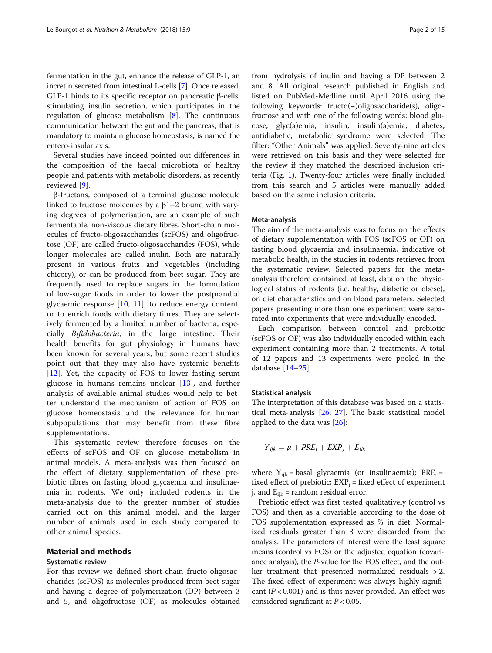fermentation in the gut, enhance the release of GLP-1, an incretin secreted from intestinal L-cells [\[7](#page-12-0)]. Once released, GLP-1 binds to its specific receptor on pancreatic β-cells, stimulating insulin secretion, which participates in the regulation of glucose metabolism [[8\]](#page-12-0). The continuous communication between the gut and the pancreas, that is mandatory to maintain glucose homeostasis, is named the entero-insular axis.

Several studies have indeed pointed out differences in the composition of the faecal microbiota of healthy people and patients with metabolic disorders, as recently reviewed [[9\]](#page-12-0).

β-fructans, composed of a terminal glucose molecule linked to fructose molecules by a β1–2 bound with varying degrees of polymerisation, are an example of such fermentable, non-viscous dietary fibres. Short-chain molecules of fructo-oligosaccharides (scFOS) and oligofructose (OF) are called fructo-oligosaccharides (FOS), while longer molecules are called inulin. Both are naturally present in various fruits and vegetables (including chicory), or can be produced from beet sugar. They are frequently used to replace sugars in the formulation of low-sugar foods in order to lower the postprandial glycaemic response [\[10](#page-12-0), [11](#page-12-0)], to reduce energy content, or to enrich foods with dietary fibres. They are selectively fermented by a limited number of bacteria, especially Bifidobacteria, in the large intestine. Their health benefits for gut physiology in humans have been known for several years, but some recent studies point out that they may also have systemic benefits [[12\]](#page-13-0). Yet, the capacity of FOS to lower fasting serum glucose in humans remains unclear  $[13]$  $[13]$ , and further analysis of available animal studies would help to better understand the mechanism of action of FOS on glucose homeostasis and the relevance for human subpopulations that may benefit from these fibre supplementations.

This systematic review therefore focuses on the effects of scFOS and OF on glucose metabolism in animal models. A meta-analysis was then focused on the effect of dietary supplementation of these prebiotic fibres on fasting blood glycaemia and insulinaemia in rodents. We only included rodents in the meta-analysis due to the greater number of studies carried out on this animal model, and the larger number of animals used in each study compared to other animal species.

### Material and methods

### Systematic review

For this review we defined short-chain fructo-oligosaccharides (scFOS) as molecules produced from beet sugar and having a degree of polymerization (DP) between 3 and 5, and oligofructose (OF) as molecules obtained from hydrolysis of inulin and having a DP between 2 and 8. All original research published in English and listed on PubMed-Medline until April 2016 using the following keywords: fructo(−)oligosaccharide(s), oligofructose and with one of the following words: blood glucose, glyc(a)emia, insulin, insulin(a)emia, diabetes, antidiabetic, metabolic syndrome were selected. The filter: "Other Animals" was applied. Seventy-nine articles were retrieved on this basis and they were selected for the review if they matched the described inclusion criteria (Fig. [1\)](#page-2-0). Twenty-four articles were finally included from this search and 5 articles were manually added based on the same inclusion criteria.

### Meta-analysis

The aim of the meta-analysis was to focus on the effects of dietary supplementation with FOS (scFOS or OF) on fasting blood glycaemia and insulinaemia, indicative of metabolic health, in the studies in rodents retrieved from the systematic review. Selected papers for the metaanalysis therefore contained, at least, data on the physiological status of rodents (i.e. healthy, diabetic or obese), on diet characteristics and on blood parameters. Selected papers presenting more than one experiment were separated into experiments that were individually encoded.

Each comparison between control and prebiotic (scFOS or OF) was also individually encoded within each experiment containing more than 2 treatments. A total of 12 papers and 13 experiments were pooled in the database [[14](#page-13-0)–[25](#page-13-0)].

#### Statistical analysis

The interpretation of this database was based on a statistical meta-analysis [\[26,](#page-13-0) [27](#page-13-0)]. The basic statistical model applied to the data was [[26](#page-13-0)]:

$$
Y_{ijk} = \mu + PRE_i + EXP_j + E_{ijk},
$$

where  $Y_{ijk}$  = basal glycaemia (or insulinaemia); PRE<sub>i</sub> = fixed effect of prebiotic;  $EXP_i$  = fixed effect of experiment j, and  $E_{ijk}$  = random residual error.

Prebiotic effect was first tested qualitatively (control vs FOS) and then as a covariable according to the dose of FOS supplementation expressed as % in diet. Normalized residuals greater than 3 were discarded from the analysis. The parameters of interest were the least square means (control vs FOS) or the adjusted equation (covariance analysis), the P-value for the FOS effect, and the outlier treatment that presented normalized residuals > 2. The fixed effect of experiment was always highly significant ( $P < 0.001$ ) and is thus never provided. An effect was considered significant at  $P < 0.05$ .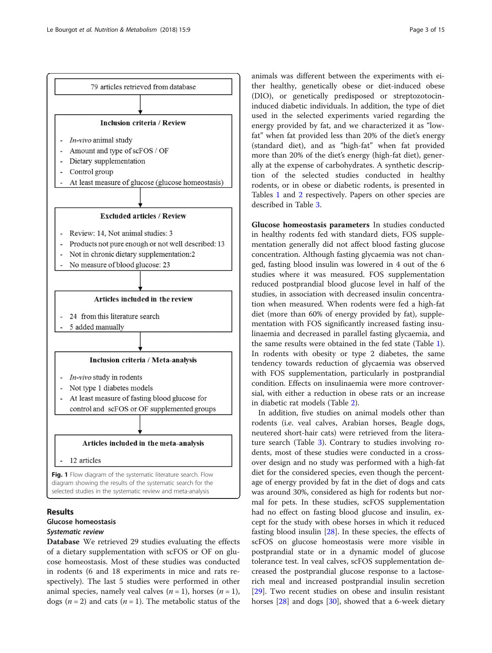<span id="page-2-0"></span>

# Results

Glucose homeostasis

#### Systematic review

Database We retrieved 29 studies evaluating the effects of a dietary supplementation with scFOS or OF on glucose homeostasis. Most of these studies was conducted in rodents (6 and 18 experiments in mice and rats respectively). The last 5 studies were performed in other animal species, namely veal calves  $(n = 1)$ , horses  $(n = 1)$ , dogs ( $n = 2$ ) and cats ( $n = 1$ ). The metabolic status of the animals was different between the experiments with either healthy, genetically obese or diet-induced obese (DIO), or genetically predisposed or streptozotocininduced diabetic individuals. In addition, the type of diet used in the selected experiments varied regarding the energy provided by fat, and we characterized it as "lowfat" when fat provided less than 20% of the diet's energy (standard diet), and as "high-fat" when fat provided more than 20% of the diet's energy (high-fat diet), generally at the expense of carbohydrates. A synthetic description of the selected studies conducted in healthy rodents, or in obese or diabetic rodents, is presented in Tables [1](#page-3-0) and [2](#page-5-0) respectively. Papers on other species are described in Table [3](#page-6-0).

Glucose homeostasis parameters In studies conducted in healthy rodents fed with standard diets, FOS supplementation generally did not affect blood fasting glucose concentration. Although fasting glycaemia was not changed, fasting blood insulin was lowered in 4 out of the 6 studies where it was measured. FOS supplementation reduced postprandial blood glucose level in half of the studies, in association with decreased insulin concentration when measured. When rodents were fed a high-fat diet (more than 60% of energy provided by fat), supplementation with FOS significantly increased fasting insulinaemia and decreased in parallel fasting glycaemia, and the same results were obtained in the fed state (Table [1](#page-3-0)). In rodents with obesity or type 2 diabetes, the same tendency towards reduction of glycaemia was observed with FOS supplementation, particularly in postprandial condition. Effects on insulinaemia were more controversial, with either a reduction in obese rats or an increase in diabetic rat models (Table [2\)](#page-5-0).

In addition, five studies on animal models other than rodents (i.e. veal calves, Arabian horses, Beagle dogs, neutered short-hair cats) were retrieved from the literature search (Table [3\)](#page-6-0). Contrary to studies involving rodents, most of these studies were conducted in a crossover design and no study was performed with a high-fat diet for the considered species, even though the percentage of energy provided by fat in the diet of dogs and cats was around 30%, considered as high for rodents but normal for pets. In these studies, scFOS supplementation had no effect on fasting blood glucose and insulin, except for the study with obese horses in which it reduced fasting blood insulin [[28](#page-13-0)]. In these species, the effects of scFOS on glucose homeostasis were more visible in postprandial state or in a dynamic model of glucose tolerance test. In veal calves, scFOS supplementation decreased the postprandial glucose response to a lactoserich meal and increased postprandial insulin secretion [[29\]](#page-13-0). Two recent studies on obese and insulin resistant horses [\[28](#page-13-0)] and dogs [[30\]](#page-13-0), showed that a 6-week dietary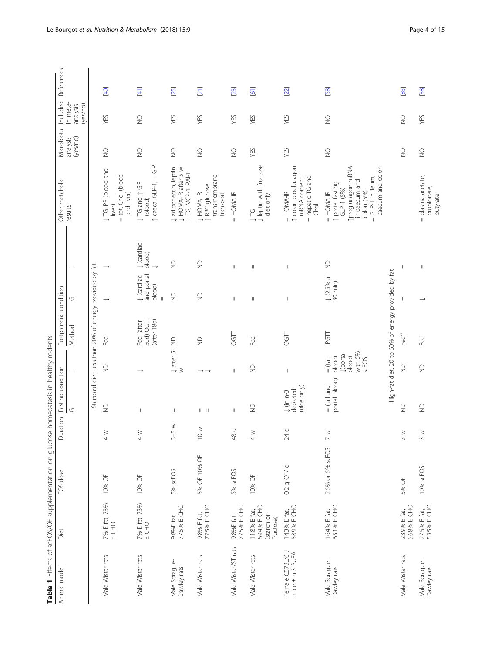<span id="page-3-0"></span>

| Table 1 Effects of scFOS/OF supplementation on glucose homeostasis in healthy rodents<br>Animal model | Diet                                                   | FOS dose         |                                    | Duration Fasting condition                     |                                                                      | Postprandial condition                                 |                                                               |                                         | Other metabolic                                                                                                                                                                          | Microbiota           | Included                         | References |
|-------------------------------------------------------------------------------------------------------|--------------------------------------------------------|------------------|------------------------------------|------------------------------------------------|----------------------------------------------------------------------|--------------------------------------------------------|---------------------------------------------------------------|-----------------------------------------|------------------------------------------------------------------------------------------------------------------------------------------------------------------------------------------|----------------------|----------------------------------|------------|
|                                                                                                       |                                                        |                  |                                    | O                                              |                                                                      | Method                                                 | U                                                             |                                         | results                                                                                                                                                                                  | (yes/no)<br>analysis | in meta-<br>(yes/no)<br>analysis |            |
|                                                                                                       |                                                        |                  |                                    |                                                |                                                                      | Standard diet: less than 20% of energy provided by fat |                                                               |                                         |                                                                                                                                                                                          |                      |                                  |            |
| Male Wistar rats                                                                                      | 7% E fat, 73%<br>E CHO                                 | 10% OF           | $\geq$<br>4                        | $\supseteq$                                    | $\supseteq$                                                          | Fed                                                    | $\rightarrow$                                                 | $\rightarrow$                           | ↓ TG, PP (blood and<br>= tot. Chol (blood<br>and liver)<br>liver)                                                                                                                        | $\sqrt{2}$           | YES                              | [40]       |
| Male Wistar rats                                                                                      | 7% E fat, 73%<br>E CHO                                 | 10% OF           | ≧<br>$\overline{\phantom{a}}$      | $\lvert \rvert$                                |                                                                      | 30d) OGTT<br>(after 18d)<br>Fed (after                 | and portal<br>$\downarrow$ (cardiac<br>blood)<br>$\mathbf{I}$ | $L$ (cardiac<br>blood)<br>$\rightarrow$ | $\uparrow$ caecal GLP-1, = GIP<br>↓TG and 1 GIP<br>(blood)                                                                                                                               | $\geq$               | $\frac{0}{2}$                    | $[41]$     |
| Male Sprague-<br>Dawley rats                                                                          | 77.5% E CHO<br>9.8%E fat,                              | 5% scFOS         | 5w<br>$\sim$                       | $\lvert \rvert$                                | $\downarrow$ after 5<br>w                                            | $\supseteq$                                            | $\frac{\Omega}{Z}$                                            | $\mathrel{\mathop{\supseteq}}_Z$        | ↓ adiponectin, leptin<br>↓ HOMA-IR after 5 w<br>= TG, MCP-1, PAI-1                                                                                                                       | $\sqrt{2}$           | YES                              | $[25]$     |
| Male Wistar rats                                                                                      | 77.5% E CHO<br>9.8% E fat,                             | 5% OF 10% OF     | $\geq$<br>$\supseteq$              | $   -   $                                      |                                                                      | $\mathrel{\mathop{\supseteq}}_Z$                       | $\mathrel{\mathop{\supseteq}}_Z$                              | $\supseteq$                             | transmembrane<br>↓ HOMA-IR<br>↑ RBC glucose<br>transport                                                                                                                                 | $\sqrt{2}$           | YES                              | [21]       |
| Male Wistar/ST rats                                                                                   | 77.5% E CHO<br>9.8%E fat,                              | 5% scFOS         | ℃<br>$48$                          | $\vert\vert$                                   | $\begin{array}{c} \hline \end{array}$                                | <b>USO</b>                                             | $\begin{array}{c} \hline \end{array}$                         | $\vert\vert$                            | $=$ HOMA-IR                                                                                                                                                                              | $\sqrt{2}$           | YES                              | $[23]$     |
| Male Wistar rats                                                                                      | 11.8% E fat,<br>69.4% E CHO<br>(starch or<br>fructose) | 10% OF           | $\geq$<br>4                        | $\trianglerighteq$                             | $\frac{\Omega}{Z}$                                                   | Fed                                                    | $\lvert \rvert$                                               | $\lvert \rvert$                         | uptin with fructose<br>diet only<br>$\downarrow$ TG                                                                                                                                      | YES                  | YES                              | [61]       |
| Female C57BL/6 J<br>mice ± n-3 PUFA                                                                   | 14.3% E fat,<br>58.9% E CHO                            | 0.2 g OF/ d      | ℃<br>$\geqslant$                   | mice only)<br>depleted<br>$\downarrow$ (in n-3 | $\mid \mid$                                                          | <b>CGTT</b>                                            | $\left\vert {}\right\vert$                                    | $\left\vert {}\right\vert$              | t colon proglucagon<br>= hepatic TG and<br>mRNA content<br>$=$ HOMA-IR<br>Chol                                                                                                           | YES                  | YES                              | [22]       |
| Male Sprague-<br>Dawley rats                                                                          | 16.4% E fat,<br>65.1% E CHO                            | 2.5% or 5% scFOS | $\geq$<br>$\overline{\phantom{0}}$ | portal blood)<br>$=$ (tail and                 | with 5%<br><b>U</b> cortal<br>blood)<br>blood)<br>scFOS<br>$=$ (tail | IPGIT                                                  | $\sqrt{2.5\% at}$<br>30 min)                                  | $\frac{1}{2}$                           | <b>Tproglucagon mRNA</b><br>caecum and colon<br>GLP-1 in ileum,<br>in caecum and<br>t portal fasting<br>GLP-1 (5%)<br>colon (5%)<br>$=$ HOMA-IR<br>$\label{eq:1} \prod_{i=1}^n \alpha_i$ | $\geq$               | $\frac{1}{2}$                    | [58]       |
|                                                                                                       |                                                        |                  |                                    |                                                |                                                                      | High-fat diet: 20 to 60% of energy provided by fat     |                                                               |                                         |                                                                                                                                                                                          |                      |                                  |            |
| Male Wistar rats                                                                                      | 56.8% E CHO<br>23.9% E fat,                            | 5% OF            | ≧<br>$\sim$                        | $\supseteq$                                    | $\supseteq$                                                          | Fed <sup>a</sup>                                       | $\lvert \rvert$                                               | $\mid \mid$                             |                                                                                                                                                                                          | $\sqrt{2}$           | $\frac{0}{2}$                    | [83]       |
| Male Sprague-<br>Dawley rats                                                                          | 27.5% E fat,<br>53.5% E CHO                            | 10% scFOS        | ≧<br>$\sim$                        | $\trianglerighteq$                             | $\frac{\Omega}{Z}$                                                   | Fed                                                    |                                                               | $\lvert \rvert$                         | = plasma acetate,<br>propionate,<br>butyrate                                                                                                                                             | $\sqrt{2}$           | YES                              | [38]       |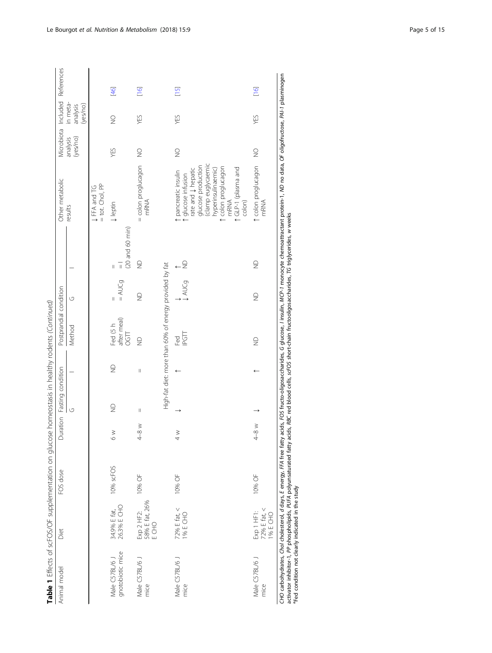| ١<br>ï<br>l       |
|-------------------|
|                   |
|                   |
| ׇ֚֘               |
| í<br>$\mathbf{r}$ |
|                   |
| I                 |
| l<br>ij           |
| ŕ<br>i            |

| Animal model                       | Diet                                   | FOS dose  |                   | Duration Fasting condition |                       | Postprandial condition                                 |                                  |                                                                      | Other metabolic                                                                                                                                                                                           |                      |                                 | Microbiota Included References        |
|------------------------------------|----------------------------------------|-----------|-------------------|----------------------------|-----------------------|--------------------------------------------------------|----------------------------------|----------------------------------------------------------------------|-----------------------------------------------------------------------------------------------------------------------------------------------------------------------------------------------------------|----------------------|---------------------------------|---------------------------------------|
|                                    |                                        |           |                   | Ū                          |                       | Method                                                 | O                                |                                                                      | results                                                                                                                                                                                                   | analysis<br>(yes/no) | in meta-<br>analysis<br>(yes/no |                                       |
|                                    |                                        |           |                   |                            |                       |                                                        |                                  |                                                                      | = tot. Chol, PP<br>↓ FFA and TG                                                                                                                                                                           |                      |                                 |                                       |
| gnotobiotic mice<br>Male C57BL/6 J | 34.9% E fat,<br>26.3% E CHO            | 10% scFOS | $\geq$<br>$\circ$ | $\trianglerighteq$         | $\frac{\circ}{\circ}$ | after meal)<br>Fed (5 h<br><b>SSL</b>                  | $=$ AUCg<br>$\label{eq:1} \  \ $ | $(20 \text{ and } 60 \text{ min})$<br>$\frac{1}{1}$<br>$\mathbf{  }$ | $\downarrow$ leptin                                                                                                                                                                                       | YES                  | $\frac{1}{2}$                   | $\sqrt{6}$                            |
| Male C57BL/6 J<br>mice             | 58% E fat, 26%<br>Exp 2 HF2:<br>E CHO  | 10% OF    | $-8 \times$<br>4  | $\mathsf{II}$              | $\parallel$           | $\supseteq$                                            | $\frac{\Omega}{\Sigma}$          | $\supseteq$                                                          | = colon proglucagon<br>mRNA                                                                                                                                                                               | $\frac{1}{2}$        | YES                             | $\begin{bmatrix} 1 & 6 \end{bmatrix}$ |
|                                    |                                        |           |                   |                            |                       | High-fat diet: more than 60% of energy provided by fat |                                  |                                                                      |                                                                                                                                                                                                           |                      |                                 |                                       |
| Male C57BL/6 J<br>mice             | 72% E fat, $<$<br>1% E CHO             | 10% OF    | $\geq$<br>4       |                            |                       | <b>IPGTT</b><br>Fed                                    | J AUCg                           | $\frac{\Omega}{Z}$                                                   | (clamp euglycaemic<br>glucose production<br>t colon proglucagon<br>1 GLP-1 (plasma and<br>rate and $\downarrow$ hepatic<br>hyperinsulinaemic)<br>pancreatic insulin<br>glucose infusion<br>colon)<br>mRNA | $\trianglerighteq$   | YES                             | $[15]$                                |
| Male C57BL/6 J<br>mice             | 72% E fat, <<br>Exp 1 HF1:<br>1% E CHO | 10% OF    | $-8 \times$<br>4  |                            |                       | $\supseteq$                                            | $\supseteq$                      | $\frac{\Omega}{\Sigma}$                                              | 1 colon proglucagon<br>mRNA                                                                                                                                                                               | $\trianglerighteq$   | YES                             | $[16]$                                |

activator inhibitor-1, PP phospholipids, PUFA polyunsaturated fatty acids, RBC red blood cells, scFOS short-chain fructooligosaccharides, TG triglycerides, w weeks e<br>blyce<br>olyce in,<br>Jigos<br>Jigos  $\sum_{i=1}^{\infty}$ CHO carbohydrates, Chol cholesterol, d days, E ene<br>activator inhibitor-1, PP phospholipids, PUFA polyu<br><sup>a</sup>Fed condition not clearly indicated in the study aFed condition not clearly indicated in the study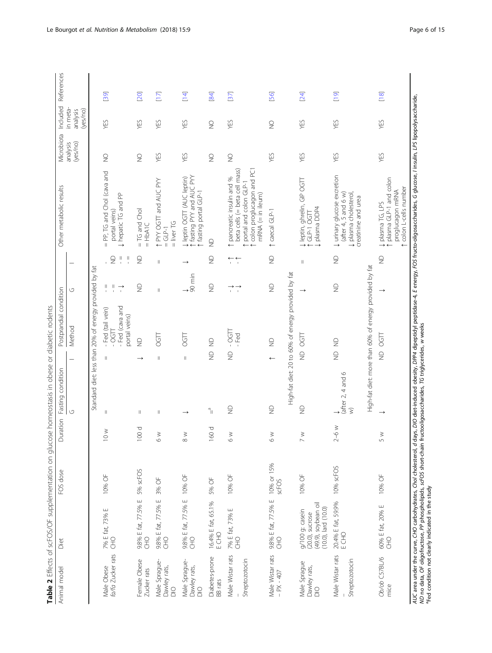| $\vdots$<br>j<br>S                                                                                             |
|----------------------------------------------------------------------------------------------------------------|
|                                                                                                                |
| í<br>١                                                                                                         |
| $\ddot{\phantom{a}}$<br>-<br> <br> <br> <br> <br> <br>I<br>ł<br>$\frac{1}{2}$                                  |
| i<br>j<br>j<br>j<br>Ì<br>֖֖֖֖֚֚֚֚֚֚֬<br>$\mathbf{r}$                                                           |
| J<br>$\begin{bmatrix} 1 \\ 1 \\ 1 \end{bmatrix}$<br>$-1.4$<br>$\frac{1}{2}$<br>ī<br>Ï<br>ţ<br>Ï<br>נ<br>ג<br>l |
| Ś<br>Ì<br>$\big)$<br>$\overline{a}$<br>)<br>)<br>-<br>í                                                        |
| able 2 Effects of                                                                                              |
|                                                                                                                |

<span id="page-5-0"></span>

| Standard diet: less than 20% of energy provided by fat<br>$\frac{1}{2}$<br>$\supseteq$<br>$\supseteq$<br>$\supseteq$<br>$\vert\vert$<br>$\vert\vert$<br>$\vert\vert$<br>(after 2, 4 and 6<br>$\trianglerighteq$<br>$\trianglerighteq$<br>$\trianglerighteq$<br>$\mathbb{P}_{\mathbb{P}^1}$<br>G<br>$\lvert \rvert$<br>$\vert\vert$<br>$\mathop{\rm II}\nolimits$<br>$\rightarrow$<br>$2-6w$<br>100d<br>160 d<br>$\geq$<br>$\frac{8}{6}$<br>$\frac{8}{6}$<br>$_{\rm 8}^{\rm \times}$<br>6 w<br>$\geq$<br>$\supseteq$<br>9.8% E fat, 77.5% E 10% or 15%<br>10% scFOS<br>5% scFOS<br>10% OF<br>10% OF<br>10% OF<br>10% OF<br>3% OF<br>5% OF<br>scFOS<br>9.8% E fat, 77.5% E<br>9.8% E fat, 77.5% E<br>9.8% E fat, 77.5% E<br>16.4% E fat, 65.1%<br>20.4% E fat, 59.9%<br>(49.9), soybean oil<br>$(10.0)$ , lard $(10.0)$<br>7% E fat, 73% E<br>7% E fat, 73% E<br>g/100 g: casein<br>(20.0), sucrose<br>ECHO<br>E CHO<br><b>CHO</b><br><b>CHO</b><br><b>CHO</b><br>CH <sub>O</sub><br><b>CHO</b><br>E<br>fa/fa Zucker rats<br>Male Wistar rats<br>Male Wistar rats<br>Male Wistar rats<br>Diabetes-prone<br>Streptozotocin<br>Streptozotocin<br>Female Obese<br>Male Sprague-<br>Male Sprague-<br>Male Sprague<br>Male Obese<br>Dawley rats,<br>Dawley rats,<br>Dawley rats,<br>Zucker rats<br>$-$ PX $-$ 407<br>BB rats<br>$\frac{1}{2}$<br>$\frac{1}{2}$<br>$\frac{1}{2}$ |  |                  | Method                                                            | ↺                                                          |                                                                         |                                                                                                                                             | analysis      | in meta-            |        |
|--------------------------------------------------------------------------------------------------------------------------------------------------------------------------------------------------------------------------------------------------------------------------------------------------------------------------------------------------------------------------------------------------------------------------------------------------------------------------------------------------------------------------------------------------------------------------------------------------------------------------------------------------------------------------------------------------------------------------------------------------------------------------------------------------------------------------------------------------------------------------------------------------------------------------------------------------------------------------------------------------------------------------------------------------------------------------------------------------------------------------------------------------------------------------------------------------------------------------------------------------------------------------------------------------------------------------------------------------------------------------|--|------------------|-------------------------------------------------------------------|------------------------------------------------------------|-------------------------------------------------------------------------|---------------------------------------------------------------------------------------------------------------------------------------------|---------------|---------------------|--------|
|                                                                                                                                                                                                                                                                                                                                                                                                                                                                                                                                                                                                                                                                                                                                                                                                                                                                                                                                                                                                                                                                                                                                                                                                                                                                                                                                                                          |  |                  |                                                                   |                                                            |                                                                         |                                                                                                                                             | (yes/no)      | analysis<br>(yes/no |        |
|                                                                                                                                                                                                                                                                                                                                                                                                                                                                                                                                                                                                                                                                                                                                                                                                                                                                                                                                                                                                                                                                                                                                                                                                                                                                                                                                                                          |  |                  |                                                                   |                                                            |                                                                         |                                                                                                                                             |               |                     |        |
|                                                                                                                                                                                                                                                                                                                                                                                                                                                                                                                                                                                                                                                                                                                                                                                                                                                                                                                                                                                                                                                                                                                                                                                                                                                                                                                                                                          |  |                  | - Fed (cava and<br>- Fed (tail vein)<br>portal veins)<br>$-05$    | II.<br>$\frac{\vert \vert}{\vert}$<br>$\overrightarrow{a}$ | $\trianglerighteq$<br>$\frac{11}{1}$<br>$\frac{11}{1}$                  | = PP, TG and Chol (cava and<br>I hepatic TG and PP<br>portal veins)                                                                         | $\sqrt{2}$    | YES                 | [39]   |
|                                                                                                                                                                                                                                                                                                                                                                                                                                                                                                                                                                                                                                                                                                                                                                                                                                                                                                                                                                                                                                                                                                                                                                                                                                                                                                                                                                          |  |                  | $\frac{\Omega}{Z}$                                                | $\supseteq$                                                | $\varrho$                                                               | $=$ TG and Chol<br>$=$ HbA1C                                                                                                                | $\frac{1}{2}$ | YES                 | [20]   |
|                                                                                                                                                                                                                                                                                                                                                                                                                                                                                                                                                                                                                                                                                                                                                                                                                                                                                                                                                                                                                                                                                                                                                                                                                                                                                                                                                                          |  |                  | <b>GST</b>                                                        | $\mathop{\rm II}\nolimits$                                 | Ш                                                                       | 1 PYY OGTT and AUC PYY<br>$=$ liver TG<br>$= GLP-1$                                                                                         | YES           | YES                 | $[17]$ |
|                                                                                                                                                                                                                                                                                                                                                                                                                                                                                                                                                                                                                                                                                                                                                                                                                                                                                                                                                                                                                                                                                                                                                                                                                                                                                                                                                                          |  |                  | <b>CGTT</b>                                                       | $\frac{1}{90}$ min                                         |                                                                         | 1 fasting PYY and AUC PYY<br><b>↓</b> leptin OGTT (AUC leptin)<br>1 fasting portal GLP-1                                                    | YES           | YES                 | $[14]$ |
|                                                                                                                                                                                                                                                                                                                                                                                                                                                                                                                                                                                                                                                                                                                                                                                                                                                                                                                                                                                                                                                                                                                                                                                                                                                                                                                                                                          |  |                  | $\supseteq$                                                       | $\supseteq$                                                | $\supseteq$<br>$\supseteq$                                              |                                                                                                                                             | $\sqrt{2}$    | $\frac{1}{2}$       | [84]   |
|                                                                                                                                                                                                                                                                                                                                                                                                                                                                                                                                                                                                                                                                                                                                                                                                                                                                                                                                                                                                                                                                                                                                                                                                                                                                                                                                                                          |  |                  | $-06$<br>- Fed                                                    | $\rightarrow$ $\rightarrow$                                | $\begin{array}{c}\n\leftarrow \\ \leftarrow \\ \leftarrow\n\end{array}$ | 1 colon proglucagon and PC1<br>beta cells (= beta cell mass)<br>t pancreatic insulin and %<br>1 portal and colon GLP-1<br>mRNA (= in ileum) | $\sqrt{2}$    | YES                 | [37]   |
|                                                                                                                                                                                                                                                                                                                                                                                                                                                                                                                                                                                                                                                                                                                                                                                                                                                                                                                                                                                                                                                                                                                                                                                                                                                                                                                                                                          |  |                  | High-fat diet: 20 to 60% of energy provided by fat<br>$\supseteq$ | $\supseteq$                                                | $\trianglerighteq$                                                      | 1-qub GLP-1                                                                                                                                 | YES           | $\sqrt{2}$          | [56]   |
|                                                                                                                                                                                                                                                                                                                                                                                                                                                                                                                                                                                                                                                                                                                                                                                                                                                                                                                                                                                                                                                                                                                                                                                                                                                                                                                                                                          |  |                  | <b>USD</b>                                                        |                                                            | $\vert\vert$                                                            | ↓ leptin, ghrelin, GIP OGTT<br>↑ GLP-1 OGTT<br>J plasma DDP4                                                                                | YES           | YES                 | [24]   |
|                                                                                                                                                                                                                                                                                                                                                                                                                                                                                                                                                                                                                                                                                                                                                                                                                                                                                                                                                                                                                                                                                                                                                                                                                                                                                                                                                                          |  | $\widehat{\geq}$ | $\frac{\Omega}{\Sigma}$                                           | $\supseteq$                                                | $\supseteq$                                                             | urinary glucose excretion<br>(after $4, 5$ and $6 w$ )<br>plasma cholesterol,<br>creatinine and urea                                        | YES           | YES                 | [19]   |
| High-fat diet: more than 60% of energy provided by fat<br>$\supseteq$<br>5w<br>10% OF<br>60% E fat, 20% E<br>$rac{1}{x}$<br>Ob/ob C57BL/6<br>mice                                                                                                                                                                                                                                                                                                                                                                                                                                                                                                                                                                                                                                                                                                                                                                                                                                                                                                                                                                                                                                                                                                                                                                                                                        |  |                  | <b>USD</b>                                                        |                                                            | $\varrho$                                                               | 1 plasma GLP-1 and colon<br>t colon L-cells number<br>proglucagon mRNA<br>↓ plasma TG, LPS                                                  | YES           | YES                 | $[18]$ |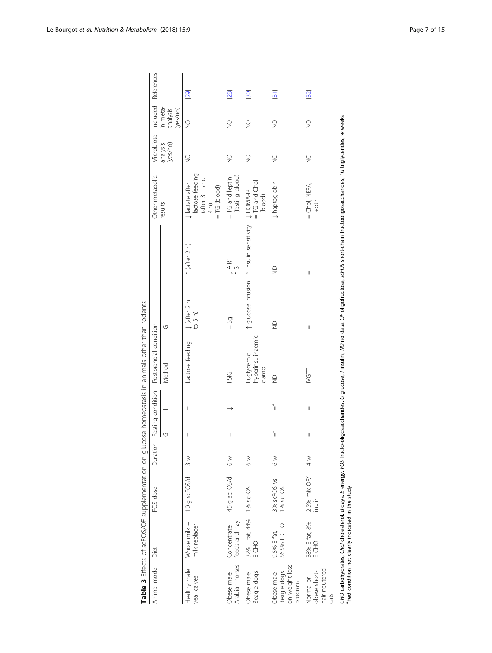|                                                        |                                                               |                         |               |              |                   | Table 3 Effects of scFOS/OF supplementation on glucose homeostasis in animals other than rodents |                                    |                                                                                                                                                                                                             |                                                                                                           |                                |                                  |                                    |
|--------------------------------------------------------|---------------------------------------------------------------|-------------------------|---------------|--------------|-------------------|--------------------------------------------------------------------------------------------------|------------------------------------|-------------------------------------------------------------------------------------------------------------------------------------------------------------------------------------------------------------|-----------------------------------------------------------------------------------------------------------|--------------------------------|----------------------------------|------------------------------------|
| Animal model                                           | Diet                                                          | FOS dose                | Duration      |              | Fasting condition | Postprandial condition                                                                           |                                    |                                                                                                                                                                                                             | Other metabolic                                                                                           | Microbiota Included References |                                  |                                    |
|                                                        |                                                               |                         |               | $\circ$      |                   | Method                                                                                           | G                                  |                                                                                                                                                                                                             | results                                                                                                   | (yes/no)<br>analysis           | in meta-<br>(yes/no)<br>analysis |                                    |
| Healthy male<br>veal calves                            | Whole milk +<br>milk replacer                                 | 10 g scFOS/d            | $\frac{8}{3}$ | $\mathsf{I}$ | $\mid \mid$       | Lactose feeding                                                                                  | $\downarrow$ (after 2 h<br>to 5 h) | $\uparrow$ (after 2 h)                                                                                                                                                                                      | lactose feeding<br>$\frac{a \text{fter 3} \text{h and}}{4 \text{h}}$<br>, lactate after<br>$=$ TG (blood) | $\frac{1}{2}$                  | $\frac{1}{2}$                    | [29]                               |
| Arabian horses<br>Obese male                           | feeds and hay<br>Concentrate                                  | 45 g scFOS/d            | $\frac{8}{6}$ | $\mathsf{I}$ |                   | FSIGTT                                                                                           | $PS =$                             | AIRi<br>$\overline{5}$                                                                                                                                                                                      | (fasting blood)<br>$=$ TG and leptin                                                                      | $\frac{1}{2}$                  | $\frac{1}{2}$                    | [28]                               |
| Beagle dogs<br>Obese male                              | 32% E fat, 44% 1% scFOS<br>E CHO                              |                         | $\frac{8}{6}$ | II           | $\mathbf{  }$     | Euglycemic<br>hyperinsulinaemic<br>clamp                                                         |                                    | ↑ glucose infusion ↑ insulin sensitivity ↓ HOMA-IR                                                                                                                                                          | $=$ TG and Chol<br>(blood)                                                                                | $\frac{1}{2}$                  | $\frac{1}{2}$                    | [30]                               |
| on weight-loss<br>Beagle dogs<br>Obese male<br>program | 9.5% E fat,<br>56.5% E CHO                                    | 3% scFOS Vs<br>1% scFOS | $\frac{8}{6}$ | $\mathbb{P}$ | $\mathbb{P}$      | $\supseteq$                                                                                      | $\supseteq$                        | $\supseteq$                                                                                                                                                                                                 | thaptoglobin                                                                                              | $\frac{0}{2}$                  | $\frac{0}{2}$                    | $\begin{bmatrix} 31 \end{bmatrix}$ |
| hair neutered<br>obese short-<br>Normal or<br>Cats     | 38% E fat, 8%<br>E CHO                                        | 2.5% mix OF/<br>inulin  | 4 w           | $\vert$      | $\mathbf{  }$     | <b>NGTT</b>                                                                                      | $\parallel$                        | $\parallel$                                                                                                                                                                                                 | $=$ Chol, NEFA,<br>leptin                                                                                 | $\frac{1}{2}$                  | $\frac{1}{2}$                    | [32]                               |
|                                                        | <sup>a</sup> Fed condition not clearly indicated in the study |                         |               |              |                   |                                                                                                  |                                    | CHO carbohydrates, Chol cholesterol, d days, E energy, FOS fructo-oligosaccharides, G glucose, I insulin, ND no data, OF oligofructose, scFOS short-chain fructooligosaccharides, TG triglycerides, w weeks |                                                                                                           |                                |                                  |                                    |

# <span id="page-6-0"></span>Le Bourgot et al. Nutrition & Metabolism (2018) 15:9 example 3 and 2018 and 2018 Page 7 of 15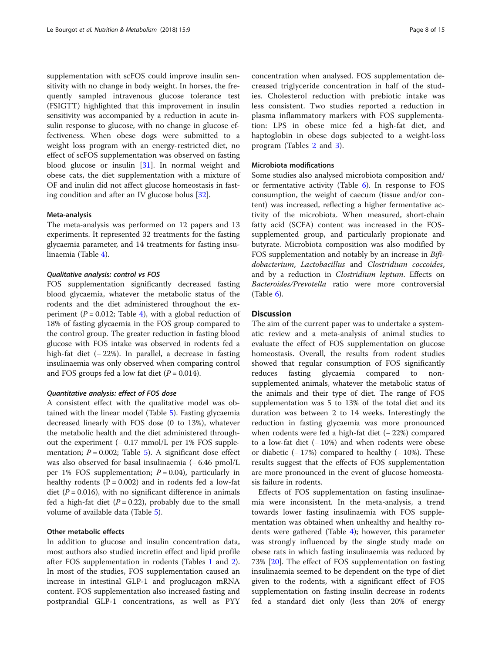supplementation with scFOS could improve insulin sensitivity with no change in body weight. In horses, the frequently sampled intravenous glucose tolerance test (FSIGTT) highlighted that this improvement in insulin sensitivity was accompanied by a reduction in acute insulin response to glucose, with no change in glucose effectiveness. When obese dogs were submitted to a weight loss program with an energy-restricted diet, no effect of scFOS supplementation was observed on fasting blood glucose or insulin [[31](#page-13-0)]. In normal weight and obese cats, the diet supplementation with a mixture of OF and inulin did not affect glucose homeostasis in fasting condition and after an IV glucose bolus [[32\]](#page-13-0).

#### Meta-analysis

The meta-analysis was performed on 12 papers and 13 experiments. It represented 32 treatments for the fasting glycaemia parameter, and 14 treatments for fasting insulinaemia (Table [4](#page-8-0)).

# Qualitative analysis: control vs FOS

FOS supplementation significantly decreased fasting blood glycaemia, whatever the metabolic status of the rodents and the diet administered throughout the experiment ( $P = 0.012$ ; Table [4\)](#page-8-0), with a global reduction of 18% of fasting glycaemia in the FOS group compared to the control group. The greater reduction in fasting blood glucose with FOS intake was observed in rodents fed a high-fat diet (− 22%). In parallel, a decrease in fasting insulinaemia was only observed when comparing control and FOS groups fed a low fat diet  $(P = 0.014)$ .

#### Quantitative analysis: effect of FOS dose

A consistent effect with the qualitative model was obtained with the linear model (Table [5\)](#page-8-0). Fasting glycaemia decreased linearly with FOS dose (0 to 13%), whatever the metabolic health and the diet administered throughout the experiment (− 0.17 mmol/L per 1% FOS supplementation;  $P = 0.002$ ; Table [5](#page-8-0)). A significant dose effect was also observed for basal insulinaemia (− 6.46 pmol/L per 1% FOS supplementation;  $P = 0.04$ ), particularly in healthy rodents  $(P = 0.002)$  and in rodents fed a low-fat diet ( $P = 0.016$ ), with no significant difference in animals fed a high-fat diet ( $P = 0.22$ ), probably due to the small volume of available data (Table [5\)](#page-8-0).

# Other metabolic effects

In addition to glucose and insulin concentration data, most authors also studied incretin effect and lipid profile after FOS supplementation in rodents (Tables [1](#page-3-0) and [2](#page-5-0)). In most of the studies, FOS supplementation caused an increase in intestinal GLP-1 and proglucagon mRNA content. FOS supplementation also increased fasting and postprandial GLP-1 concentrations, as well as PYY concentration when analysed. FOS supplementation decreased triglyceride concentration in half of the studies. Cholesterol reduction with prebiotic intake was less consistent. Two studies reported a reduction in plasma inflammatory markers with FOS supplementation: LPS in obese mice fed a high-fat diet, and haptoglobin in obese dogs subjected to a weight-loss program (Tables [2](#page-5-0) and [3](#page-6-0)).

### Microbiota modifications

Some studies also analysed microbiota composition and/ or fermentative activity (Table [6](#page-9-0)). In response to FOS consumption, the weight of caecum (tissue and/or content) was increased, reflecting a higher fermentative activity of the microbiota. When measured, short-chain fatty acid (SCFA) content was increased in the FOSsupplemented group, and particularly propionate and butyrate. Microbiota composition was also modified by FOS supplementation and notably by an increase in Bifidobacterium, Lactobacillus and Clostridium coccoides, and by a reduction in Clostridium leptum. Effects on Bacteroides/Prevotella ratio were more controversial (Table [6\)](#page-9-0).

#### **Discussion**

The aim of the current paper was to undertake a systematic review and a meta-analysis of animal studies to evaluate the effect of FOS supplementation on glucose homeostasis. Overall, the results from rodent studies showed that regular consumption of FOS significantly reduces fasting glycaemia compared to nonsupplemented animals, whatever the metabolic status of the animals and their type of diet. The range of FOS supplementation was 5 to 13% of the total diet and its duration was between 2 to 14 weeks. Interestingly the reduction in fasting glycaemia was more pronounced when rodents were fed a high-fat diet (−22%) compared to a low-fat diet (− 10%) and when rodents were obese or diabetic  $(-17%)$  compared to healthy  $(-10%)$ . These results suggest that the effects of FOS supplementation are more pronounced in the event of glucose homeostasis failure in rodents.

Effects of FOS supplementation on fasting insulinaemia were inconsistent. In the meta-analysis, a trend towards lower fasting insulinaemia with FOS supplementation was obtained when unhealthy and healthy rodents were gathered (Table [4](#page-8-0)); however, this parameter was strongly influenced by the single study made on obese rats in which fasting insulinaemia was reduced by 73% [\[20](#page-13-0)]. The effect of FOS supplementation on fasting insulinaemia seemed to be dependent on the type of diet given to the rodents, with a significant effect of FOS supplementation on fasting insulin decrease in rodents fed a standard diet only (less than 20% of energy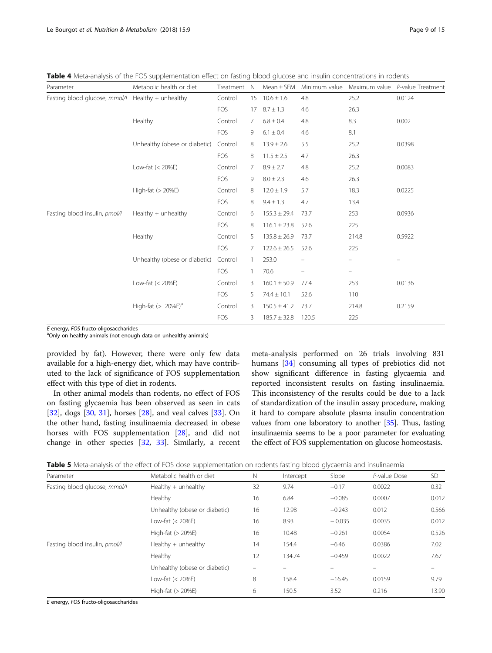| Parameter                                         | Metabolic health or diet      | Treatment N |    | $Mean \pm SEM$          | Minimum value                 | Maximum value | P-value Treatment |
|---------------------------------------------------|-------------------------------|-------------|----|-------------------------|-------------------------------|---------------|-------------------|
| Fasting blood glucose, mmol/l Healthy + unhealthy |                               | Control     |    | $15 \quad 10.6 \pm 1.6$ | 4.8                           | 25.2          | 0.0124            |
|                                                   |                               | FOS         | 17 | $8.7 \pm 1.3$           | 4.6                           | 26.3          |                   |
|                                                   | Healthy                       | Control     | 7  | $6.8 \pm 0.4$           | 4.8                           | 8.3           | 0.002             |
|                                                   |                               | FOS         | 9  | $6.1 \pm 0.4$           | 4.6                           | 8.1           |                   |
|                                                   | Unhealthy (obese or diabetic) | Control     | 8  | $13.9 \pm 2.6$          | 5.5                           | 25.2          | 0.0398            |
|                                                   |                               | FOS         | 8  | $11.5 \pm 2.5$          | 4.7                           | 26.3          |                   |
|                                                   | Low-fat $(< 20%E)$            | Control     | 7  | $8.9 \pm 2.7$           | 4.8                           | 25.2          | 0.0083            |
|                                                   |                               | <b>FOS</b>  | 9  | $8.0 \pm 2.3$           | 4.6                           | 26.3          |                   |
|                                                   | High-fat (> 20%E)             | Control     | 8  | $12.0 \pm 1.9$          | 5.7                           | 18.3          | 0.0225            |
|                                                   |                               | <b>FOS</b>  | 8  | $9.4 \pm 1.3$           | 4.7                           | 13.4          |                   |
| Fasting blood insulin, pmol/l                     | Healthy $+$ unhealthy         | Control     | 6  | $155.3 \pm 29.4$        | 73.7                          | 253           | 0.0936            |
|                                                   |                               | FOS         | 8  | $116.1 \pm 23.8$        | 52.6                          | 225           |                   |
|                                                   | Healthy                       | Control     | 5  | $135.8 \pm 26.9$        | 73.7                          | 214.8         | 0.5922            |
|                                                   |                               | FOS         | 7  | $122.6 \pm 26.5$        | 52.6                          | 225           |                   |
|                                                   | Unhealthy (obese or diabetic) | Control     | 1  | 253.0                   | $\qquad \qquad \qquad \qquad$ | -             |                   |
|                                                   |                               | FOS         | 1  | 70.6                    |                               |               |                   |
|                                                   | Low-fat $(< 20\%$ E)          | Control     | 3  | $160.1 \pm 50.9$        | 77.4                          | 253           | 0.0136            |
|                                                   |                               | <b>FOS</b>  | 5  | $74.4 \pm 10.1$         | 52.6                          | 110           |                   |
|                                                   | High-fat $(> 20%E)^a$         | Control     | 3  | $150.5 \pm 41.2$        | 73.7                          | 214.8         | 0.2159            |
|                                                   |                               | FOS         | 3  | $185.7 \pm 32.8$        | 120.5                         | 225           |                   |

<span id="page-8-0"></span>Table 4 Meta-analysis of the FOS supplementation effect on fasting blood glucose and insulin concentrations in rodents

 $E$  energy, FOS fructo-oligosaccharides

<sup>a</sup>Only on healthy animals (not enough data on unhealthy animals)

provided by fat). However, there were only few data available for a high-energy diet, which may have contributed to the lack of significance of FOS supplementation effect with this type of diet in rodents.

In other animal models than rodents, no effect of FOS on fasting glycaemia has been observed as seen in cats [[32\]](#page-13-0), dogs [\[30,](#page-13-0) [31](#page-13-0)], horses [\[28](#page-13-0)], and veal calves [[33\]](#page-13-0). On the other hand, fasting insulinaemia decreased in obese horses with FOS supplementation [[28\]](#page-13-0), and did not change in other species [\[32,](#page-13-0) [33\]](#page-13-0). Similarly, a recent

meta-analysis performed on 26 trials involving 831 humans [[34\]](#page-13-0) consuming all types of prebiotics did not show significant difference in fasting glycaemia and reported inconsistent results on fasting insulinaemia. This inconsistency of the results could be due to a lack of standardization of the insulin assay procedure, making it hard to compare absolute plasma insulin concentration values from one laboratory to another [[35](#page-13-0)]. Thus, fasting insulinaemia seems to be a poor parameter for evaluating the effect of FOS supplementation on glucose homeostasis.

|  | <b>Table 5</b> Meta-analysis of the effect of FOS dose supplementation on rodents fasting blood glycaemia and insulinaemia |  |
|--|----------------------------------------------------------------------------------------------------------------------------|--|
|  |                                                                                                                            |  |

| Parameter                     | Metabolic health or diet      | N  | Intercept | Slope    | P-value Dose | <b>SD</b> |
|-------------------------------|-------------------------------|----|-----------|----------|--------------|-----------|
| Fasting blood glucose, mmol/l | Healthy + unhealthy           | 32 | 9.74      | $-0.17$  | 0.0022       | 0.32      |
|                               | Healthy                       | 16 | 6.84      | $-0.085$ | 0.0007       | 0.012     |
|                               | Unhealthy (obese or diabetic) | 16 | 12.98     | $-0.243$ | 0.012        | 0.566     |
|                               | Low-fat $(< 20\%$ E)          | 16 | 8.93      | $-0.035$ | 0.0035       | 0.012     |
|                               | High-fat $(>20\%E)$           | 16 | 10.48     | $-0.261$ | 0.0054       | 0.526     |
| Fasting blood insulin, pmol/l | Healthy + unhealthy           | 14 | 154.4     | $-6.46$  | 0.0386       | 7.02      |
|                               | Healthy                       | 12 | 134.74    | $-0.459$ | 0.0022       | 7.67      |
|                               | Unhealthy (obese or diabetic) |    |           |          |              | $\equiv$  |
|                               | Low-fat $(< 20\%$ E)          | 8  | 158.4     | $-16.45$ | 0.0159       | 9.79      |
|                               | High-fat $(>20\%E)$           | 6  | 150.5     | 3.52     | 0.216        | 13.90     |

E energy, FOS fructo-oligosaccharides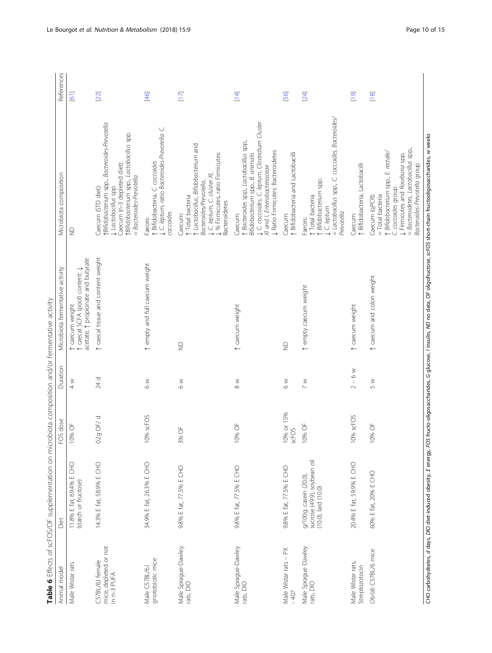| <b>rable 6</b> Effects of scFOS/OF supplem |                                                         |          |          | plementation on microbiota composition and/or fermentative activity                  |                        |
|--------------------------------------------|---------------------------------------------------------|----------|----------|--------------------------------------------------------------------------------------|------------------------|
| nimal model                                | jiet                                                    | FOS dose | Ouration | Aicrobiota fermentative activity                                                     | Microbiota composition |
| lale Wistar rat:                           | fat, 69.4% E CHO<br>rintosa<br>ジッシンソフ<br>18% E.<br>arch | 10% OF   | ≥<br>4   | acetate, 1 propionate and butyrate<br>caecal SCFA (pool) content: J<br>caecum weight | g                      |

| )<br>5                    |
|---------------------------|
|                           |
|                           |
| I                         |
|                           |
| I                         |
|                           |
|                           |
|                           |
|                           |
|                           |
|                           |
| l<br>ļ                    |
|                           |
|                           |
| 1                         |
|                           |
| $\frac{1}{2}$             |
|                           |
|                           |
| $\overline{a}$            |
|                           |
|                           |
|                           |
|                           |
| i                         |
|                           |
| ٢                         |
| ł                         |
| $\vdots$                  |
| i                         |
| 5                         |
|                           |
| j                         |
|                           |
|                           |
|                           |
| ζ<br>(                    |
| )<br>J                    |
|                           |
| $\frac{1}{2}$             |
| j<br>$\ddot{\phantom{a}}$ |
|                           |
| ò                         |
|                           |
| ¢                         |
|                           |
|                           |
| l                         |
| į                         |
|                           |
| İ                         |
|                           |
| Ś                         |
|                           |
| j<br>١                    |
|                           |
|                           |
| ١                         |
|                           |
|                           |
|                           |
|                           |
| I                         |
|                           |
|                           |
| j<br>I                    |
|                           |
|                           |
|                           |
|                           |
|                           |
|                           |
|                           |
| ۶                         |
|                           |
|                           |
|                           |
|                           |
| $\lambda$                 |
| $\mathbf{I}$              |
| I                         |
| Ì                         |
| $\mathbf{)}$<br>I         |
| I                         |
| j                         |
| I                         |
| $\frac{1}{2}$             |
|                           |
| 5                         |
|                           |
|                           |
|                           |
|                           |
| I                         |
| )<br>) ) )<br>-<br>i      |
|                           |
| ū<br>í                    |
|                           |
|                           |
| I<br>D                    |
| Ø<br>ı                    |

<span id="page-9-0"></span>

|                                                         | Table 6 Effects of scFOS/OF supplementation on microbiota composition and/or fermentative activity |                     |                    |                                                                                                   |                                                                                                                                                                                                                           |                   |
|---------------------------------------------------------|----------------------------------------------------------------------------------------------------|---------------------|--------------------|---------------------------------------------------------------------------------------------------|---------------------------------------------------------------------------------------------------------------------------------------------------------------------------------------------------------------------------|-------------------|
| Animal model                                            | Diet                                                                                               | FOS dose            | Duration           | Microbiota fermentative activity                                                                  | Microbiota composition                                                                                                                                                                                                    | References        |
| Male Wistar rats                                        | 11.8% E fat, 69.4% E CHO<br>(starch or fructose)                                                   | 10% OF              | 4 w                | acetate, $\uparrow$ propionate and butyrate<br>↑ caecal SCFA (pool) content: ↓<br>t caecum weight | $\frac{\mathsf{D}}{\mathsf{D}}$                                                                                                                                                                                           | $\overline{[61]}$ |
| mice, depleted or not<br>in n-3 PUFA<br>C57BL/6J female | 14.3% E fat, 58.9% E CHO                                                                           | $0.2g$ OF/d         | 24 d               | 1 caecal tissue and content weight                                                                | Bifidobacterium spp., Bacteroides-Prevotella<br>Midobacterium spp., Lactobacillus spp.<br>Caecum (n-3 depleted diet):<br>= Bacteroides-Prevotella<br>Lactobacillus spp.<br>Caecum (STD diet):                             | [22]              |
| gnotobiotic mice<br>Male C57BL/6J                       | 34.9% E fat, 26.3% E CHO                                                                           | 10% scFOS           | $\frac{8}{6}$      | t empty and full caecum weight                                                                    | L C. leptum, ratio Bacteroides-Prevotella: C.<br>1 Bifidobacteria, C. coccoides<br>coccoides<br>Faeces:                                                                                                                   | [46]              |
| Male Sprague-Dawley<br>rats, DIO                        | 9.8% E fat, 77.5% E CHO                                                                            | 3% OF               | $\frac{8}{6}$      | $\frac{1}{2}$                                                                                     | Lactobacillus, Bifidobacterium and<br>% Firmicutes, ratio Firmicutes:<br>LC. leptum, C. cluster XI,<br>Bacteroides/Prevotella,<br>Total bacteria<br><b>Bacteroidetes</b><br>Caecum:                                       | $[17]$            |
| Male Sprague-Dawley<br>rats, DIO                        | 9.8% E fat, 77.5% E CHO                                                                            | 10% OF              | $_{\infty}^{\geq}$ | t caecum weight                                                                                   | $\downarrow$ C. coccoides, C. leptum, Clostridium Cluster<br>t Bacteroides spp., Lactobacillus spp.,<br>& Ratio Firmicutes: Bacteroidetes<br>Bifidobacterium spp., B. animalis<br>XI and I, Enterobacteriaceae<br>Caecum: | $[14]$            |
| Male Wistar rats - PX<br>$-407$                         | 9.8% E fat, 77.5% E CHO                                                                            | 10% or 15%<br>scFOS | $\frac{8}{6}$      | $\supseteq$                                                                                       | ↑ Bifidobacteria and Lactobacilli<br>Caecum:                                                                                                                                                                              | [56]              |
| Male Sprague Dawley<br>rats, DIO                        | g/100g: casein (20.0),<br>sucrose (49.9), soybean oil<br>(10.0), lard (10.0)                       | 10% OF              | $7~\rm{w}$         | t empty caecum weight                                                                             | = Lactobacillus spp., C. coccoides, Bacteroides,<br><b>Bifidobacterium</b> spp.<br>t Total bacteria<br>$\downarrow$ C. leptum<br>Prevotella<br>Faeces:                                                                    | [24]              |
| Male Wistar rats,<br>Streptozotocin                     | 20.4% E fat, 59.9% E CHO                                                                           | 10% scFOS           | $-6w$<br>$\sim$    | t caecum weight                                                                                   | ↑ Bifidobacteria, Lactobacilli<br>Caecum:                                                                                                                                                                                 | [19]              |
| Ob/ob C57BL/6 mice                                      | 60% E fat, 20% E CHO                                                                               | 10% OF              | 5 w                | ↑ caecum and colon weight                                                                         | = Bacteroidetes, Lactobacillus spp.,<br>f Bifidobacterium spp., E. rectale/<br>Firmicutes and Roseburia spp.<br>Bacteroides-Prevotella group<br>C. coccoides group<br>Caecum (qPCR):<br>= Total bacteria                  | $[18]$            |

w weeks

CHO carbohydrates, d days, DIO diet-induced obesity, E energy, FOS fructo-oligosaccharides, G glucose, I insulin, ND no data, OF oligofructose, scFOS short-chain fructooligosaccharides,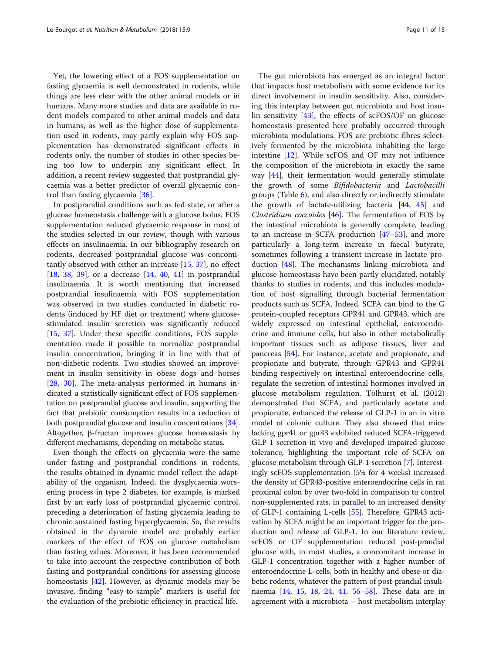Yet, the lowering effect of a FOS supplementation on fasting glycaemia is well demonstrated in rodents, while things are less clear with the other animal models or in humans. Many more studies and data are available in rodent models compared to other animal models and data in humans, as well as the higher dose of supplementation used in rodents, may partly explain why FOS supplementation has demonstrated significant effects in rodents only, the number of studies in other species being too low to underpin any significant effect. In addition, a recent review suggested that postprandial glycaemia was a better predictor of overall glycaemic control than fasting glycaemia [\[36](#page-13-0)].

In postprandial conditions such as fed state, or after a glucose homeostasis challenge with a glucose bolus, FOS supplementation reduced glycaemic response in most of the studies selected in our review, though with various effects on insulinaemia. In our bibliography research on rodents, decreased postprandial glucose was concomitantly observed with either an increase [[15,](#page-13-0) [37\]](#page-13-0), no effect [[18,](#page-13-0) [38](#page-13-0), [39\]](#page-13-0), or a decrease [\[14,](#page-13-0) [40](#page-13-0), [41\]](#page-13-0) in postprandial insulinaemia. It is worth mentioning that increased postprandial insulinaemia with FOS supplementation was observed in two studies conducted in diabetic rodents (induced by HF diet or treatment) where glucosestimulated insulin secretion was significantly reduced [[15,](#page-13-0) [37](#page-13-0)]. Under these specific conditions, FOS supplementation made it possible to normalize postprandial insulin concentration, bringing it in line with that of non-diabetic rodents. Two studies showed an improvement in insulin sensitivity in obese dogs and horses [[28,](#page-13-0) [30](#page-13-0)]. The meta-analysis performed in humans indicated a statistically significant effect of FOS supplementation on postprandial glucose and insulin, supporting the fact that prebiotic consumption results in a reduction of both postprandial glucose and insulin concentrations [[34](#page-13-0)]. Altogether, β-fructan improves glucose homeostasis by different mechanisms, depending on metabolic status.

Even though the effects on glycaemia were the same under fasting and postprandial conditions in rodents, the results obtained in dynamic model reflect the adaptability of the organism. Indeed, the dysglycaemia worsening process in type 2 diabetes, for example, is marked first by an early loss of postprandial glycaemic control, preceding a deterioration of fasting glycaemia leading to chronic sustained fasting hyperglycaemia. So, the results obtained in the dynamic model are probably earlier markers of the effect of FOS on glucose metabolism than fasting values. Moreover, it has been recommended to take into account the respective contribution of both fasting and postprandial conditions for assessing glucose homeostasis [[42\]](#page-13-0). However, as dynamic models may be invasive, finding "easy-to-sample" markers is useful for the evaluation of the prebiotic efficiency in practical life.

The gut microbiota has emerged as an integral factor that impacts host metabolism with some evidence for its direct involvement in insulin sensitivity. Also, considering this interplay between gut microbiota and host insulin sensitivity [\[43](#page-13-0)], the effects of scFOS/OF on glucose homeostasis presented here probably occurred through microbiota modulations. FOS are prebiotic fibres selectively fermented by the microbiota inhabiting the large intestine [[12\]](#page-13-0). While scFOS and OF may not influence the composition of the microbiota in exactly the same way [\[44](#page-13-0)], their fermentation would generally stimulate the growth of some Bifidobacteria and Lactobacilli groups (Table [6\)](#page-9-0), and also directly or indirectly stimulate the growth of lactate-utilizing bacteria [[44](#page-13-0), [45\]](#page-13-0) and Clostridium coccoides [[46\]](#page-13-0). The fermentation of FOS by the intestinal microbiota is generally complete, leading to an increase in SCFA production [\[47](#page-13-0)–[53\]](#page-13-0), and more particularly a long-term increase in faecal butyrate, sometimes following a transient increase in lactate production [\[48\]](#page-13-0). The mechanisms linking microbiota and glucose homeostasis have been partly elucidated, notably thanks to studies in rodents, and this includes modulation of host signalling through bacterial fermentation products such as SCFA. Indeed, SCFA can bind to the G protein-coupled receptors GPR41 and GPR43, which are widely expressed on intestinal epithelial, enteroendocrine and immune cells, but also in other metabolically important tissues such as adipose tissues, liver and pancreas [\[54](#page-13-0)]. For instance, acetate and propionate, and propionate and butyrate, through GPR43 and GPR41 binding respectively on intestinal enteroendocrine cells, regulate the secretion of intestinal hormones involved in glucose metabolism regulation. Tolhurst et al. (2012) demonstrated that SCFA, and particularly acetate and propionate, enhanced the release of GLP-1 in an in vitro model of colonic culture. They also showed that mice lacking gpr41 or gpr43 exhibited reduced SCFA-triggered GLP-1 secretion in vivo and developed impaired glucose tolerance, highlighting the important role of SCFA on glucose metabolism through GLP-1 secretion [\[7\]](#page-12-0). Interestingly scFOS supplementation (5% for 4 weeks) increased the density of GPR43-positive enteroendocrine cells in rat proximal colon by over two-fold in comparison to control non-supplemented rats, in parallel to an increased density of GLP-1 containing L-cells [\[55\]](#page-13-0). Therefore, GPR43 activation by SCFA might be an important trigger for the production and release of GLP-1. In our literature review, scFOS or OF supplementation reduced post-prandial glucose with, in most studies, a concomitant increase in GLP-1 concentration together with a higher number of enteroendocrine L-cells, both in healthy and obese or diabetic rodents, whatever the pattern of post-prandial insulinaemia [[14](#page-13-0), [15](#page-13-0), [18](#page-13-0), [24](#page-13-0), [41](#page-13-0), [56](#page-14-0)–[58\]](#page-14-0). These data are in agreement with a microbiota – host metabolism interplay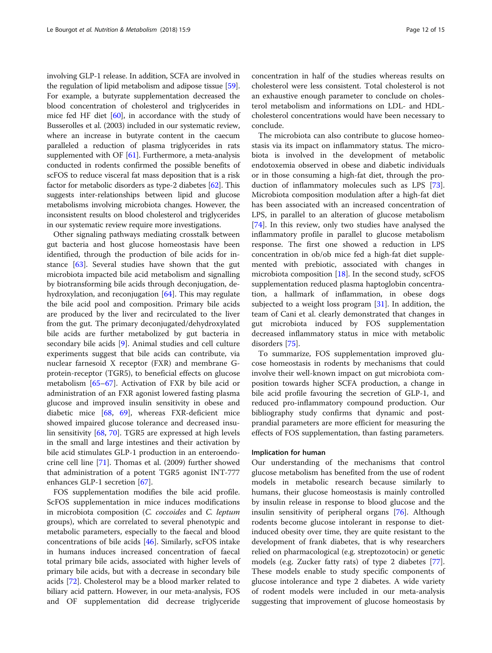involving GLP-1 release. In addition, SCFA are involved in the regulation of lipid metabolism and adipose tissue [[59](#page-14-0)]. For example, a butyrate supplementation decreased the blood concentration of cholesterol and triglycerides in mice fed HF diet [[60](#page-14-0)], in accordance with the study of Busserolles et al. (2003) included in our systematic review, where an increase in butyrate content in the caecum paralleled a reduction of plasma triglycerides in rats supplemented with OF [\[61\]](#page-14-0). Furthermore, a meta-analysis conducted in rodents confirmed the possible benefits of scFOS to reduce visceral fat mass deposition that is a risk factor for metabolic disorders as type-2 diabetes [\[62\]](#page-14-0). This suggests inter-relationships between lipid and glucose metabolisms involving microbiota changes. However, the inconsistent results on blood cholesterol and triglycerides in our systematic review require more investigations.

Other signaling pathways mediating crosstalk between gut bacteria and host glucose homeostasis have been identified, through the production of bile acids for instance [\[63\]](#page-14-0). Several studies have shown that the gut microbiota impacted bile acid metabolism and signalling by biotransforming bile acids through deconjugation, dehydroxylation, and reconjugation [[64](#page-14-0)]. This may regulate the bile acid pool and composition. Primary bile acids are produced by the liver and recirculated to the liver from the gut. The primary deconjugated/dehydroxylated bile acids are further metabolized by gut bacteria in secondary bile acids [\[9](#page-12-0)]. Animal studies and cell culture experiments suggest that bile acids can contribute, via nuclear farnesoid X receptor (FXR) and membrane Gprotein-receptor (TGR5), to beneficial effects on glucose metabolism [[65](#page-14-0)–[67](#page-14-0)]. Activation of FXR by bile acid or administration of an FXR agonist lowered fasting plasma glucose and improved insulin sensitivity in obese and diabetic mice [[68,](#page-14-0) [69\]](#page-14-0), whereas FXR-deficient mice showed impaired glucose tolerance and decreased insulin sensitivity [[68,](#page-14-0) [70\]](#page-14-0). TGR5 are expressed at high levels in the small and large intestines and their activation by bile acid stimulates GLP-1 production in an enteroendocrine cell line [[71](#page-14-0)]. Thomas et al. (2009) further showed that administration of a potent TGR5 agonist INT-777 enhances GLP-1 secretion [[67\]](#page-14-0).

FOS supplementation modifies the bile acid profile. ScFOS supplementation in mice induces modifications in microbiota composition (C. coccoides and C. leptum groups), which are correlated to several phenotypic and metabolic parameters, especially to the faecal and blood concentrations of bile acids [[46\]](#page-13-0). Similarly, scFOS intake in humans induces increased concentration of faecal total primary bile acids, associated with higher levels of primary bile acids, but with a decrease in secondary bile acids [\[72](#page-14-0)]. Cholesterol may be a blood marker related to biliary acid pattern. However, in our meta-analysis, FOS and OF supplementation did decrease triglyceride

concentration in half of the studies whereas results on cholesterol were less consistent. Total cholesterol is not an exhaustive enough parameter to conclude on cholesterol metabolism and informations on LDL- and HDLcholesterol concentrations would have been necessary to conclude.

The microbiota can also contribute to glucose homeostasis via its impact on inflammatory status. The microbiota is involved in the development of metabolic endotoxemia observed in obese and diabetic individuals or in those consuming a high-fat diet, through the production of inflammatory molecules such as LPS [\[73](#page-14-0)]. Microbiota composition modulation after a high-fat diet has been associated with an increased concentration of LPS, in parallel to an alteration of glucose metabolism [[74\]](#page-14-0). In this review, only two studies have analysed the inflammatory profile in parallel to glucose metabolism response. The first one showed a reduction in LPS concentration in ob/ob mice fed a high-fat diet supplemented with prebiotic, associated with changes in microbiota composition [[18\]](#page-13-0). In the second study, scFOS supplementation reduced plasma haptoglobin concentration, a hallmark of inflammation, in obese dogs subjected to a weight loss program [\[31\]](#page-13-0). In addition, the team of Cani et al. clearly demonstrated that changes in gut microbiota induced by FOS supplementation decreased inflammatory status in mice with metabolic disorders [\[75](#page-14-0)].

To summarize, FOS supplementation improved glucose homeostasis in rodents by mechanisms that could involve their well-known impact on gut microbiota composition towards higher SCFA production, a change in bile acid profile favouring the secretion of GLP-1, and reduced pro-inflammatory compound production. Our bibliography study confirms that dynamic and postprandial parameters are more efficient for measuring the effects of FOS supplementation, than fasting parameters.

#### Implication for human

Our understanding of the mechanisms that control glucose metabolism has benefited from the use of rodent models in metabolic research because similarly to humans, their glucose homeostasis is mainly controlled by insulin release in response to blood glucose and the insulin sensitivity of peripheral organs [[76](#page-14-0)]. Although rodents become glucose intolerant in response to dietinduced obesity over time, they are quite resistant to the development of frank diabetes, that is why researchers relied on pharmacological (e.g. streptozotocin) or genetic models (e.g. Zucker fatty rats) of type 2 diabetes [\[77](#page-14-0)]. These models enable to study specific components of glucose intolerance and type 2 diabetes. A wide variety of rodent models were included in our meta-analysis suggesting that improvement of glucose homeostasis by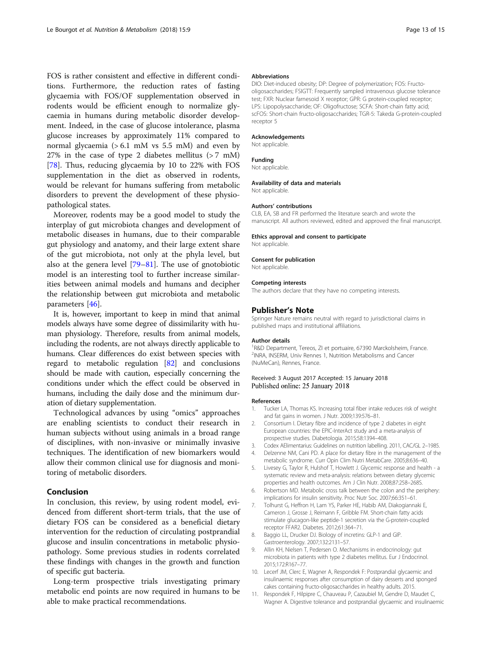<span id="page-12-0"></span>FOS is rather consistent and effective in different conditions. Furthermore, the reduction rates of fasting glycaemia with FOS/OF supplementation observed in rodents would be efficient enough to normalize glycaemia in humans during metabolic disorder development. Indeed, in the case of glucose intolerance, plasma glucose increases by approximately 11% compared to normal glycaemia (> 6.1 mM vs 5.5 mM) and even by  $27\%$  in the case of type 2 diabetes mellitus ( $> 7$  mM) [[78\]](#page-14-0). Thus, reducing glycaemia by 10 to 22% with FOS supplementation in the diet as observed in rodents, would be relevant for humans suffering from metabolic disorders to prevent the development of these physiopathological states.

Moreover, rodents may be a good model to study the interplay of gut microbiota changes and development of metabolic diseases in humans, due to their comparable gut physiology and anatomy, and their large extent share of the gut microbiota, not only at the phyla level, but also at the genera level [\[79](#page-14-0)–[81](#page-14-0)]. The use of gnotobiotic model is an interesting tool to further increase similarities between animal models and humans and decipher the relationship between gut microbiota and metabolic parameters [\[46\]](#page-13-0).

It is, however, important to keep in mind that animal models always have some degree of dissimilarity with human physiology. Therefore, results from animal models, including the rodents, are not always directly applicable to humans. Clear differences do exist between species with regard to metabolic regulation [[82](#page-14-0)] and conclusions should be made with caution, especially concerning the conditions under which the effect could be observed in humans, including the daily dose and the minimum duration of dietary supplementation.

Technological advances by using "omics" approaches are enabling scientists to conduct their research in human subjects without using animals in a broad range of disciplines, with non-invasive or minimally invasive techniques. The identification of new biomarkers would allow their common clinical use for diagnosis and monitoring of metabolic disorders.

#### Conclusion

In conclusion, this review, by using rodent model, evidenced from different short-term trials, that the use of dietary FOS can be considered as a beneficial dietary intervention for the reduction of circulating postprandial glucose and insulin concentrations in metabolic physiopathology. Some previous studies in rodents correlated these findings with changes in the growth and function of specific gut bacteria.

Long-term prospective trials investigating primary metabolic end points are now required in humans to be able to make practical recommendations.

#### Abbreviations

DIO: Diet-induced obesity; DP: Degree of polymerization; FOS: Fructooligosaccharides; FSIGTT: Frequently sampled intravenous glucose tolerance test; FXR: Nuclear farnesoid X receptor; GPR: G protein-coupled receptor; LPS: Lipopolysaccharide; OF: Oligofructose; SCFA: Short-chain fatty acid; scFOS: Short-chain fructo-oligosaccharides; TGR-5: Takeda G-protein-coupled receptor 5

# Acknowledgements

Not applicable.

#### Funding

Not applicable.

#### Availability of data and materials

Not applicable.

#### Authors' contributions

CLB, EA, SB and FR performed the literature search and wrote the manuscript. All authors reviewed, edited and approved the final manuscript.

#### Ethics approval and consent to participate

Not applicable.

#### Consent for publication

Not applicable.

#### Competing interests

The authors declare that they have no competing interests.

#### Publisher's Note

Springer Nature remains neutral with regard to jurisdictional claims in published maps and institutional affiliations.

#### Author details

<sup>1</sup>R&D Department, Tereos, ZI et portuaire, 67390 Marckolsheim, France 2 INRA, INSERM, Univ Rennes 1, Nutrition Metabolisms and Cancer (NuMeCan), Rennes, France.

#### Received: 3 August 2017 Accepted: 15 January 2018 Published online: 25 January 2018

#### References

- Tucker LA, Thomas KS. Increasing total fiber intake reduces risk of weight and fat gains in women. J Nutr. 2009;139:576–81.
- 2. Consortium I. Dietary fibre and incidence of type 2 diabetes in eight European countries: the EPIC-InterAct study and a meta-analysis of prospective studies. Diabetologia. 2015;58:1394–408.
- 3. Codex AElimentarius: Guidelines on nutrition labelling. 2011, CAC/GL 2–1985.
- 4. Delzenne NM, Cani PD. A place for dietary fibre in the management of the metabolic syndrome. Curr Opin Clim Nutri MetabCare. 2005;8:636–40.
- 5. Livesey G, Taylor R, Hulshof T, Howlett J. Glycemic response and health a systematic review and meta-analysis: relations between dietary glycemic properties and health outcomes. Am J Clin Nutr. 2008;87:258–268S.
- 6. Robertson MD. Metabolic cross talk between the colon and the periphery: implications for insulin sensitivity. Proc Nutr Soc. 2007;66:351–61.
- 7. Tolhurst G, Heffron H, Lam YS, Parker HE, Habib AM, Diakogiannaki E, Cameron J, Grosse J, Reimann F, Gribble FM. Short-chain fatty acids stimulate glucagon-like peptide-1 secretion via the G-protein-coupled receptor FFAR2. Diabetes. 2012;61:364–71.
- 8. Baggio LL, Drucker DJ. Biology of incretins: GLP-1 and GIP. Gastroenterology. 2007;132:2131–57.
- 9. Allin KH, Nielsen T, Pedersen O. Mechanisms in endocrinology: gut microbiota in patients with type 2 diabetes mellitus. Eur J Endocrinol. 2015;172:R167–77.
- 10. Lecerf JM, Clerc E, Wagner A, Respondek F: Postprandial glycaemic and insulinaemic responses after consumption of dairy desserts and sponged cakes containing fructo-oligosaccharides in healthy adults. 2015.
- 11. Respondek F, Hilpipre C, Chauveau P, Cazaubiel M, Gendre D, Maudet C, Wagner A. Digestive tolerance and postprandial glycaemic and insulinaemic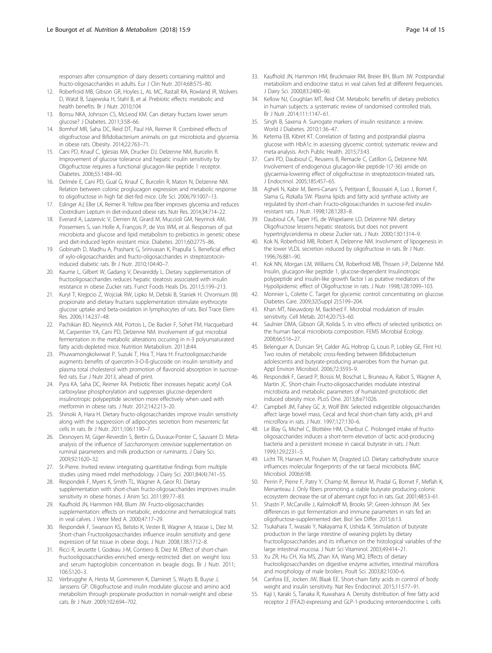<span id="page-13-0"></span>responses after consumption of dairy desserts containing maltitol and fructo-oligosaccharides in adults. Eur J Clin Nutr. 2014;68:575–80.

- 12. Roberfroid MB, Gibson GR, Hoyles L, AL MC, Rastall RA, Rowland IR, Wolvers D, Watzl B, Szajewska H, Stahl B, et al. Prebiotic effects: metabolic and health benefits. Br J Nutr. 2010;104
- 13. Bonsu NKA, Johnson CS, McLeod KM. Can dietary fructans lower serum glucose? J Diabetes. 2011;3:58–66.
- 14. Bomhof MR, Saha DC, Reid DT, Paul HA, Reimer R. Combined effects of oligofructose and Bifidobacterium animalis on gut microbiota and glycemia in obese rats. Obesity. 2014;22:763–71.
- 15. Cani PD, Knauf C, Iglesias MA, Drucker DJ, Delzenne NM, Burcelin R. Improvement of glucose tolerance and hepatic insulin sensitivity by Oligofructose requires a functional glucagon-like peptide 1 receptor. Diabetes. 2006;55:1484–90.
- 16. Delmée E, Cani PD, Gual G, Knauf C, Burcelin R, Maton N, Delzenne NM. Relation between colonic proglucagon expression and metabolic response to oligofructose in high fat diet-fed mice. Life Sci. 2006;79:1007–13.
- 17. Eslinger AJ, Eller LK, Reimer R. Yellow pea fiber improves glycemia and reduces Clostridium Leptum in diet-induced obese rats. Nutr Res. 2014;34:714–22.
- 18. Everard A, Lazarevic V, Derrien M, Girard M, Muccioli GM, Neyrinck AM, Possemiers S, van Holle A, François P, de Vos WM, et al. Responses of gut microbiota and glucose and lipid metabolism to prebiotics in genetic obese and diet-induced leptin resistant mice. Diabetes. 2011;60:2775–86.
- 19. Gobinath D, Madhu A, Prashant G, Srinivasan K, Prapulla S. Beneficial effect of xylo-oligosaccharides and fructo-oligosaccharides in streptozotocininduced diabetic rats. Br J Nutr. 2010;104:40–7.
- 20. Kaume L, Gilbert W, Gadang V, Devareddy L. Dietary supplementation of fructooligosaccharides reduces hepatic steatosis associated with insulin resistance in obese Zucker rats. Funct Foods Heals Dis. 2011;5:199–213.
- 21. Kuryl T, Krejpcio Z, Wojciak RW, Lipko M, Debski B, Staniek H. Chromium (III) propionate and dietary fructans supplementation stimulate erythrocyte glucose uptake and beta-oxidation in lymphocytes of rats. Biol Trace Elem Res. 2006;114:237–48.
- 22. Pachikian BD, Neyrinck AM, Portois L, De Backer F, Sohet FM, Hacquebard M, Carpentier YA, Cani PD, Delzenne NM. Involvement of gut microbial fermentation in the metabolic alterations occuring in n-3 polyunsaturated fatty acids-depleted mice. Nutrition Metabolism. 2011;8:44.
- 23. Phuwamongkolwiwat P, Suzuki T, Hira T, Hara H: Fructooligosaccharide augments benefits of quercetin-3-O-ß-glucoside on insulin sensitivity and plasma total cholesterol with promotion of flavonoid absorption in sucrosefed rats. Eur J Nutr 2013, ahead of print.
- 24. Pyra KA, Saha DC, Reimer RA. Prebiotic fiber increases hepatic acetyl CoA carboxylase phosphorylation and suppresses glucose-dependent insulinotropic polypeptide secretion more effectively when used with metformin in obese rats. J Nutr. 2012;142:213–20.
- 25. Shinoki A, Hara H. Dietary fructo-oligosaccharides improve insulin sensitivity along with the suppression of adipocytes secretion from mesenteric fat cells in rats. Br J Nutr. 2011;106:1190–7.
- 26. Desnoyers M, Giger-Reverdin S, Bertin G, Duvaux-Ponter C, Sauvant D. Metaanalysis of the influence of Saccharomyces cerevisiae supplementation on ruminal parameters and milk production or ruminants. J Dairy Sci. 2009;92:1620–32.
- 27. St-Pierre. Invited review: integrating quantitative findings from multiple studies using mixed mdel methodology. J Dairy Sci. 2001;84(4):741–55.
- 28. Respondek F, Myers K, Smith TL, Wagner A, Geor RJ. Dietary supplementation with short-chain fructo-oligosaccharides improves insulin sensitivity in obese horses. J Anim Sci. 2011;89:77–83.
- 29. Kaufhold JN, Hammon HM, Blum JW. Fructo-oligosaccharides supplementation: effects on metabolic, endocrine and hematological traits in veal calves. J Veter Med A. 2000;47:17–29.
- 30. Respondek F, Swanson KS, Belsito K, Vester B, Wagner A, Istasse L, Diez M. Short-chain Fructooligosaccharides influence insulin sensitivity and gene expression of fat tissue in obese dogs. J Nutr. 2008;138:1712–8.
- 31. Ricci R, Jeusette I, Godeau J-M, Contiero B, Diez M. Effect of short-chain fructooligosaccharides-enriched energy-restricted diet on weight loss and serum haptoglobin concentration in beagle dogs. Br J Nutr. 2011; 106:S120–3.
- 32. Verbrugghe A, Hesta M, Gommeren K, Daminet S, Wuyts B, Buyse J, Janssens GP. Oligofructose and inulin modulate glucose and amino acid metabolism through propionate production in nomalr-weight and obese cats. Br J Nutr. 2009;102:694–702.
- 33. Kaufhold JN, Hammon HM, Bruckmaier RM, Breier BH, Blum JW. Postprandial metabolism and endocrine status in veal calves fed at different frequencies. J Dairy Sci. 2000;83:2480–90.
- 34. Kellow NJ, Coughlan MT, Reid CM. Metabolic benefits of dietary prebiotics in human subjects: a systematic review of randomised controlled trials. Br J Nutr. 2014;111:1147–61.
- 35. Singh B, Saxena A. Surrogate markers of insulin resistance: a review. World J Diabetes. 2010;1:36–47.
- 36. Ketema EB, Kibret KT. Correlation of fasting and postprandial plasma glucose with HbA1c in assessing glycemic control; systematic review and meta-analysis. Arch Public Health. 2015;73:43.
- 37. Cani PD, Daubioul C, Reusens B, Remacle C, Catillon G, Delzenne NM. Involvement of endogenous glucagon-like peptide-1(7-36) amide on glycaemia-lowering effect of oligofructose in streptozotocin-treated rats. J Endocrinol. 2005;185:457–65.
- 38. Agheli N, Kabir M, Berni-Canani S, Petitjean E, Boussairi A, Luo J, Bornet F, Slama G, Rizkalla SW. Plasma lipids and fatty acid synthase activity are regulated by short-chain Fructo-oligosaccharides in sucrose-fed insulinresistant rats. J Nutr. 1998;128:1283–8.
- 39. Daubioul CA, Taper HS, de Wispelaere LD, Delzenne NM. dietary Oligofructose lessens hepatic steatosis, but does not prevent hypertriglyceridemia in obese Zucker rats. J Nutr. 2000;130:1314–9.
- 40. Kok N, Roberfroid MB, Robert A, Delzenne NM. Involvment of lipogenesis in the lower VLDL secretion induced by oligofructose in rats. Br J Nutr. 1996;76:881–90.
- 41. Kok NN, Morgan LM, Williams CM, Roberfroid MB, Thissen J-P, Delzenne NM. Insulin, glucagon-like peptide 1, glucose-dependent Insulinotropic polypeptide and insulin-like growth factor I as putative mediators of the Hypolipidemic effect of Oligofructose in rats. J Nutr. 1998;128:1099–103.
- 42. Monnier L, Colette C. Target for glycemic control: concentrating on glucose. Diabetes Care. 2009;32(Suppl 2):S199–204.
- 43. Khan MT, Nieuwdorp M, Backhed F. Microbial modulation of insulin sensitivity. Cell Metab. 2014;20:753–60.
- 44. Saulnier DMA, Gibson GR, Kolida S. In vitro effects of selected synbiotics on the human faecal microbiota composition. FEMS Microbial Ecology. 2008;66:516–27.
- 45. Belenguer A, Duncan SH, Calder AG, Holtrop G, Louis P, Lobley GE, Flint HJ. Two routes of metabolic cross-feeding between Bifidobacterium adolescentis and butyrate-producing anaerobes from the human gut. Appl Environ Microbiol. 2006;72:3593–9.
- 46. Respondek F, Gerard P, Bossis M, Boschat L, Bruneau A, Rabot S, Wagner A, Martin JC. Short-chain Fructo-oligosaccharides modulate intestinal microbiota and metabolic parameters of humainzed gnotobiotic diet induced obesity mice. PLoS One. 2013;8:e71026.
- 47. Campbell JM, Fahey GC Jr, Wolf BW. Selected indigestible oligosaccharides affect large bowel mass, Cecal and fecal short-chain fatty acids, pH and microflora in rats. J Nutr. 1997;127:130–6.
- 48. Le Blay G, Michel C, Blottière HM, Cherbut C. Prolonged intake of fructooligosaccharides induces a short-term elevation of lactic acid-producing bacteria and a persistent increase in caecal butyrate in rats. J Nutr. 1999;129:2231–5.
- 49. Licht TR, Hansen M, Poulsen M, Dragsted LO. Dietary carbohydrate source influences molecular fingerprints of the rat faecal microbiota. BMC Microbiol. 2006;6:98.
- 50. Perrin P, Pierre F, Patry Y, Champ M, Berreur M, Pradal G, Bornet F, Meflah K, Menanteau J. Only fibers promoting a stable butyrate producing colonic ecosystem decrease the rat of aberrrant crypt foci in rats. Gut. 2001;48:53–61.
- 51. Shastri P, McCarville J, Kalmokoff M, Brooks SP, Green-Johnson JM. Sex differences in gut fermentation and immune parameters in rats fed an oligofructose-supplemented diet. Biol Sex Differ. 2015;6:13.
- 52. Tsukahara T, Iwasaki Y, Nakayama K, Ushida K. Stimulation of butyrate production in the large intestine of weaning piglets by dietary fructooligosaccharides and its influence on the histological variables of the large intestinal mucosa. J Nutr Sci Vitaminol. 2003;49:414–21.
- 53. Xu ZR, Hu CH, Xia MS, Zhan XA, Wang MQ. Effects of dietary fructooligosaccharides on digestive enzyme activities, intestinal microflora and morphology of male broilers. Poult Sci. 2003;82:1030–6.
- 54. Canfora EE, Jocken JW, Blaak EE. Short-chain fatty acids in control of body weight and insulin sensitivity. Nat Rev Endocrinol. 2015;11:577–91.
- 55. Kaji I, Karaki S, Tanaka R, Kuwahara A. Density distribution of free fatty acid receptor 2 (FFA2)-expressing and GLP-1-producing enteroendocrine L cells